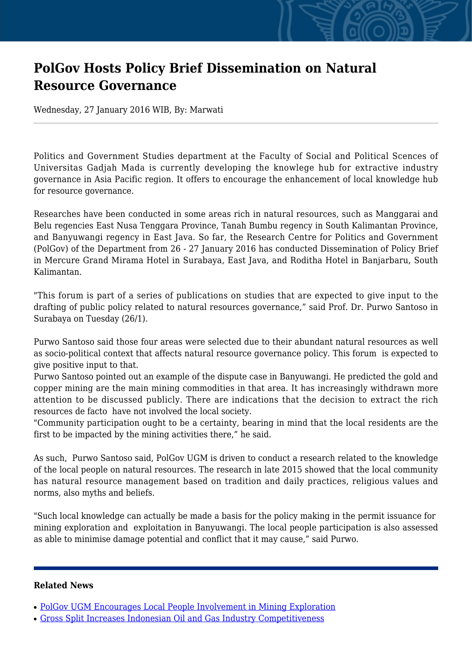## **PolGov Hosts Policy Brief Dissemination on Natural Resource Governance**

Wednesday, 27 January 2016 WIB, By: Marwati

Politics and Government Studies department at the Faculty of Social and Political Scences of Universitas Gadjah Mada is currently developing the knowlege hub for extractive industry governance in Asia Pacific region. It offers to encourage the enhancement of local knowledge hub for resource governance.

Researches have been conducted in some areas rich in natural resources, such as Manggarai and Belu regencies East Nusa Tenggara Province, Tanah Bumbu regency in South Kalimantan Province, and Banyuwangi regency in East Java. So far, the Research Centre for Politics and Government (PolGov) of the Department from 26 - 27 January 2016 has conducted Dissemination of Policy Brief in Mercure Grand Mirama Hotel in Surabaya, East Java, and Roditha Hotel in Banjarbaru, South Kalimantan.

"This forum is part of a series of publications on studies that are expected to give input to the drafting of public policy related to natural resources governance," said Prof. Dr. Purwo Santoso in Surabaya on Tuesday (26/1).

Purwo Santoso said those four areas were selected due to their abundant natural resources as well as socio-political context that affects natural resource governance policy. This forum is expected to give positive input to that.

Purwo Santoso pointed out an example of the dispute case in Banyuwangi. He predicted the gold and copper mining are the main mining commodities in that area. It has increasingly withdrawn more attention to be discussed publicly. There are indications that the decision to extract the rich resources de facto have not involved the local society.

"Community participation ought to be a certainty, bearing in mind that the local residents are the first to be impacted by the mining activities there," he said.

As such, Purwo Santoso said, PolGov UGM is driven to conduct a research related to the knowledge of the local people on natural resources. The research in late 2015 showed that the local community has natural resource management based on tradition and daily practices, religious values and norms, also myths and beliefs.

"Such local knowledge can actually be made a basis for the policy making in the permit issuance for mining exploration and exploitation in Banyuwangi. The local people participation is also assessed as able to minimise damage potential and conflict that it may cause," said Purwo.

## **Related News**

- [PolGov UGM Encourages Local People Involvement in Mining Exploration](http://ugm.ac.id/www.ugm.ac.id//en/news/20660-polgov-ugm-earns-32-billion-norhed-research-award)
- [Gross Split Increases Indonesian Oil and Gas Industry Competitiveness](http://ugm.ac.id/www.ugm.ac.id//en/news/13144-pertamina-supports-one-price-of-fuel-policy)